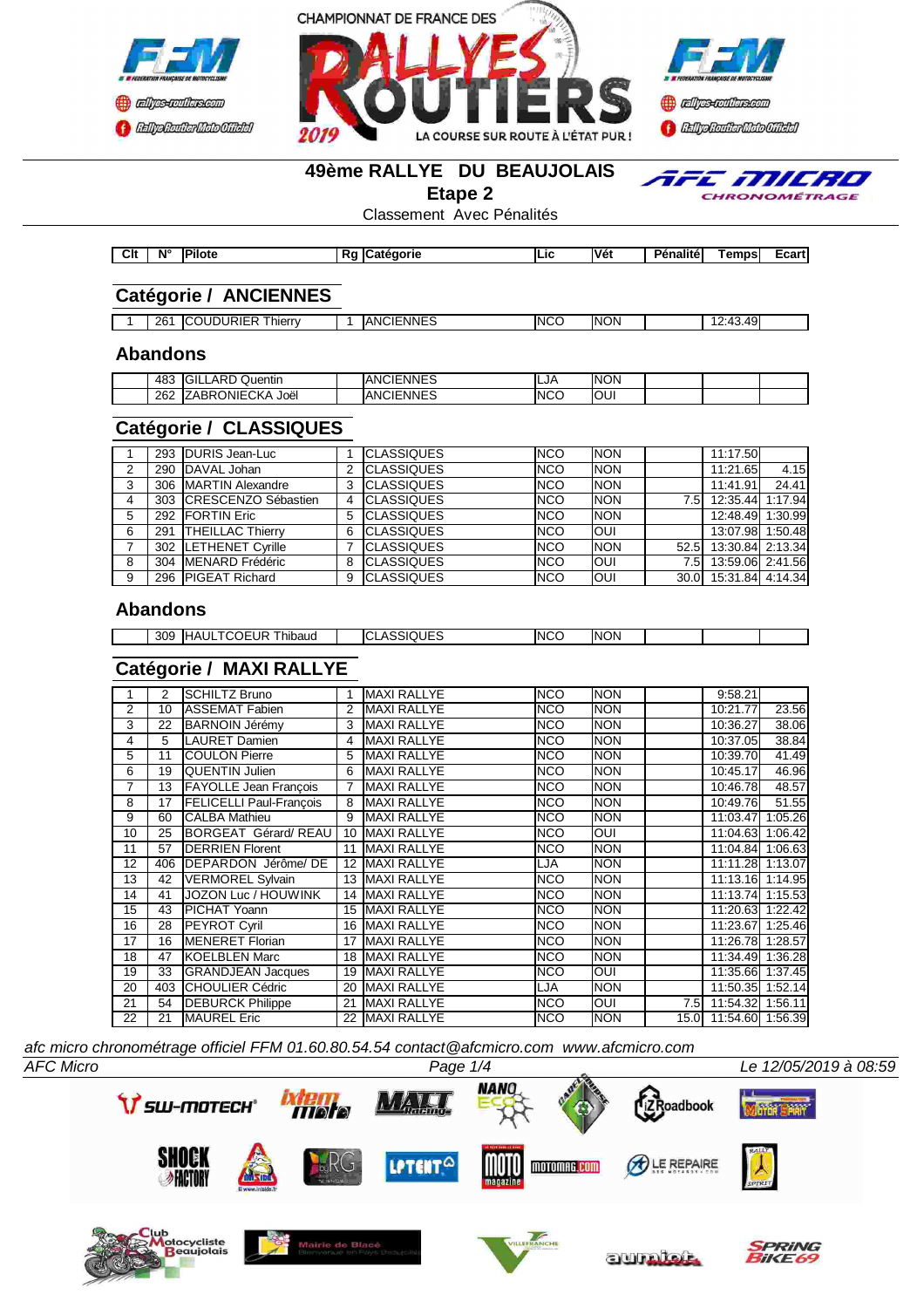





#### **49ème RALLYE DU BEAUJOLAIS**

**Etape 2**

TFE MILRO CHRONOMÉTRAGE

Classement Avec Pénalités

| $n_{\rm H}$<br>™ ام<br>,,, | N° | <b>IPilote</b> | aorie<br>. ятс | <br>" | فالحا<br>எ | <b>STATE</b><br><br>Penalite | empsi | <b>Ecart</b> |
|----------------------------|----|----------------|----------------|-------|------------|------------------------------|-------|--------------|

# **Catégorie / ANCIENNES**

| 26 | $- \cdot$<br>--<br><b>JDURIE</b><br>hierry | <b>CIENNES</b><br>AN0 | <b>INCC</b> | <b>INON</b> | $\Delta$ Q<br>0.10<br>$\overline{\phantom{0}}$<br>-<br>᠇◡<br>. TU - |  |
|----|--------------------------------------------|-----------------------|-------------|-------------|---------------------------------------------------------------------|--|

### **Abandons**

| 483 | IGIL.<br>ARD<br>$\sim$<br>Quentin | <b>ANCIENNES</b> | ILJA | <b>NON</b> |  |  |
|-----|-----------------------------------|------------------|------|------------|--|--|
| 262 | $\cdots$<br>ZABRONIECKA<br>Joëi   | <b>ANCIENNES</b> | INCC | IOUI       |  |  |

# **Catégorie / CLASSIQUES**

|    |     | 293 IDURIS Jean-Luc     |   | <b>CLASSIQUES</b> | <b>NCO</b>  | <b>INON</b> |      | 11:17.50              |         |
|----|-----|-------------------------|---|-------------------|-------------|-------------|------|-----------------------|---------|
|    |     |                         |   |                   |             |             |      |                       |         |
| 2  |     | 290 DAVAL Johan         | 2 | <b>CLASSIQUES</b> | <b>NCO</b>  | <b>NON</b>  |      | 11:21.65              | 4.15    |
| 3  |     | 306 IMARTIN Alexandre   | 3 | <b>CLASSIQUES</b> | <b>INCO</b> | <b>NON</b>  |      | 11:41.91              | 24.41   |
| 4  |     | 303 CRESCENZO Sébastien |   | <b>CLASSIQUES</b> | <b>INCO</b> | <b>NON</b>  | 7.5I | 12:35.44              | 1:17.94 |
| 5. |     | 292 FORTIN Eric         | 5 | <b>CLASSIQUES</b> | <b>INCO</b> | <b>NON</b>  |      | 12:48.49              | 1:30.99 |
| 6  | 291 | <b>THEILLAC Thierry</b> | 6 | <b>CLASSIQUES</b> | <b>INCO</b> | IOUI        |      | 13:07.98              | 1:50.48 |
|    |     | 302  LETHENET Cyrille   |   | <b>CLASSIQUES</b> | <b>NCO</b>  | <b>NON</b>  | 52.5 | 13:30.84 2:13.34      |         |
| 8  |     | 304 IMENARD Frédéric    | 8 | <b>CLASSIQUES</b> | <b>INCO</b> | <b>OUI</b>  | 7.5I | 13:59.06 2:41.56      |         |
| 9  |     | 296 PIGEAT Richard      | 9 | <b>CLASSIQUES</b> | <b>INCO</b> | <b>OUI</b>  |      | 30.0 15:31.84 4:14.34 |         |

## **Abandons**

|  | .HT<br>309<br>.<br>∴⊣( ).<br>hibaud<br>- ≻ال، |  | UEC<br>. | <b>INCO</b> | $\sim$<br>INC<br>ЭN |  |  |  |
|--|-----------------------------------------------|--|----------|-------------|---------------------|--|--|--|
|--|-----------------------------------------------|--|----------|-------------|---------------------|--|--|--|

### **Catégorie / MAXI RALLYE**

|    | 2   | <b>SCHILTZ Bruno</b>           | 1  | <b>MAXI RALLYE</b> | <b>NCO</b> | <b>NON</b> |     | 9:58.21               |         |
|----|-----|--------------------------------|----|--------------------|------------|------------|-----|-----------------------|---------|
| 2  | 10  | <b>ASSEMAT Fabien</b>          |    | <b>MAXI RALLYE</b> | <b>NCO</b> | <b>NON</b> |     | 10:21.77              | 23.56   |
| 3  | 22  | BARNOIN Jérémv                 |    | <b>MAXI RALLYE</b> | <b>NCO</b> | <b>NON</b> |     | 10:36.27              | 38.06   |
| 4  | 5   | <b>LAURET Damien</b>           | 4  | <b>MAXI RALLYE</b> | <b>NCO</b> | <b>NON</b> |     | 10:37.05              | 38.84   |
| 5  | 11  | <b>ICOULON Pierre</b>          | 5  | <b>MAXI RALLYE</b> | <b>NCO</b> | <b>NON</b> |     | 10:39.70              | 41.49   |
| 6  | 19  | <b>QUENTIN Julien</b>          | 6  | <b>MAXI RALLYE</b> | <b>NCO</b> | <b>NON</b> |     | 10:45.17              | 46.96   |
| 7  | 13  | <b>FAYOLLE Jean François</b>   |    | <b>MAXI RALLYE</b> | <b>NCO</b> | <b>NON</b> |     | 10:46.78              | 48.57   |
| 8  | 17  | <b>FELICELLI Paul-Francois</b> |    | <b>MAXI RALLYE</b> | <b>NCO</b> | <b>NON</b> |     | 10:49.76              | 51.55   |
| 9  | 60  | <b>CALBA Mathieu</b>           | 9  | <b>MAXI RALLYE</b> | <b>NCO</b> | <b>NON</b> |     | 11:03.47              | 1:05.26 |
| 10 | 25  | <b>BORGEAT Gérard/REAU</b>     | 10 | <b>MAXI RALLYE</b> | <b>NCO</b> | OUI        |     | 11:04.63              | 1:06.42 |
| 11 | 57  | <b>IDERRIEN Florent</b>        | 11 | <b>MAXI RALLYE</b> | <b>NCO</b> | <b>NON</b> |     | 11:04.84              | 1:06.63 |
| 12 | 406 | <b>IDEPARDON Jérôme/DE</b>     | 12 | <b>MAXI RALLYE</b> | LJA        | <b>NON</b> |     | 11:11.28 1:13.07      |         |
| 13 | 42  | <b>VERMOREL Svlvain</b>        | 13 | <b>MAXI RALLYE</b> | <b>NCO</b> | <b>NON</b> |     | 11:13.16 1:14.95      |         |
| 14 | 41  | JOZON Luc / HOUWINK            | 14 | <b>MAXI RALLYE</b> | <b>NCO</b> | <b>NON</b> |     | 11:13.74 1:15.53      |         |
| 15 | 43  | <b>PICHAT Yoann</b>            | 15 | <b>MAXI RALLYE</b> | <b>NCO</b> | <b>NON</b> |     | 11:20.63 1:22.42      |         |
| 16 | 28  | <b>PEYROT Cyril</b>            | 16 | <b>MAXI RALLYE</b> | <b>NCO</b> | <b>NON</b> |     | 11:23.67              | 1:25.46 |
| 17 | 16  | <b>IMENERET Florian</b>        | 17 | <b>MAXI RALLYE</b> | <b>NCO</b> | <b>NON</b> |     | 11:26.78 1:28.57      |         |
| 18 | 47  | <b>KOELBLEN Marc</b>           |    | 18 MAXI RALLYE     | <b>NCO</b> | <b>NON</b> |     | 11:34.49 1:36.28      |         |
| 19 | 33  | <b>GRANDJEAN Jacques</b>       | 19 | <b>MAXI RALLYE</b> | <b>NCO</b> | <b>OUI</b> |     | 11:35.66 1:37.45      |         |
| 20 | 403 | <b>ICHOULIER Cédric</b>        | 20 | <b>MAXI RALLYE</b> | LJA        | <b>NON</b> |     | 11:50.35 1:52.14      |         |
| 21 | 54  | <b>DEBURCK Philippe</b>        | 21 | <b>MAXI RALLYE</b> | <b>NCO</b> | OUI        | 7.5 | 11:54.32 1:56.11      |         |
| 22 | 21  | <b>MAUREL Eric</b>             |    | 22 MAXI RALLYE     | NCO        | <b>NON</b> |     | 15.0 11:54.60 1:56.39 |         |

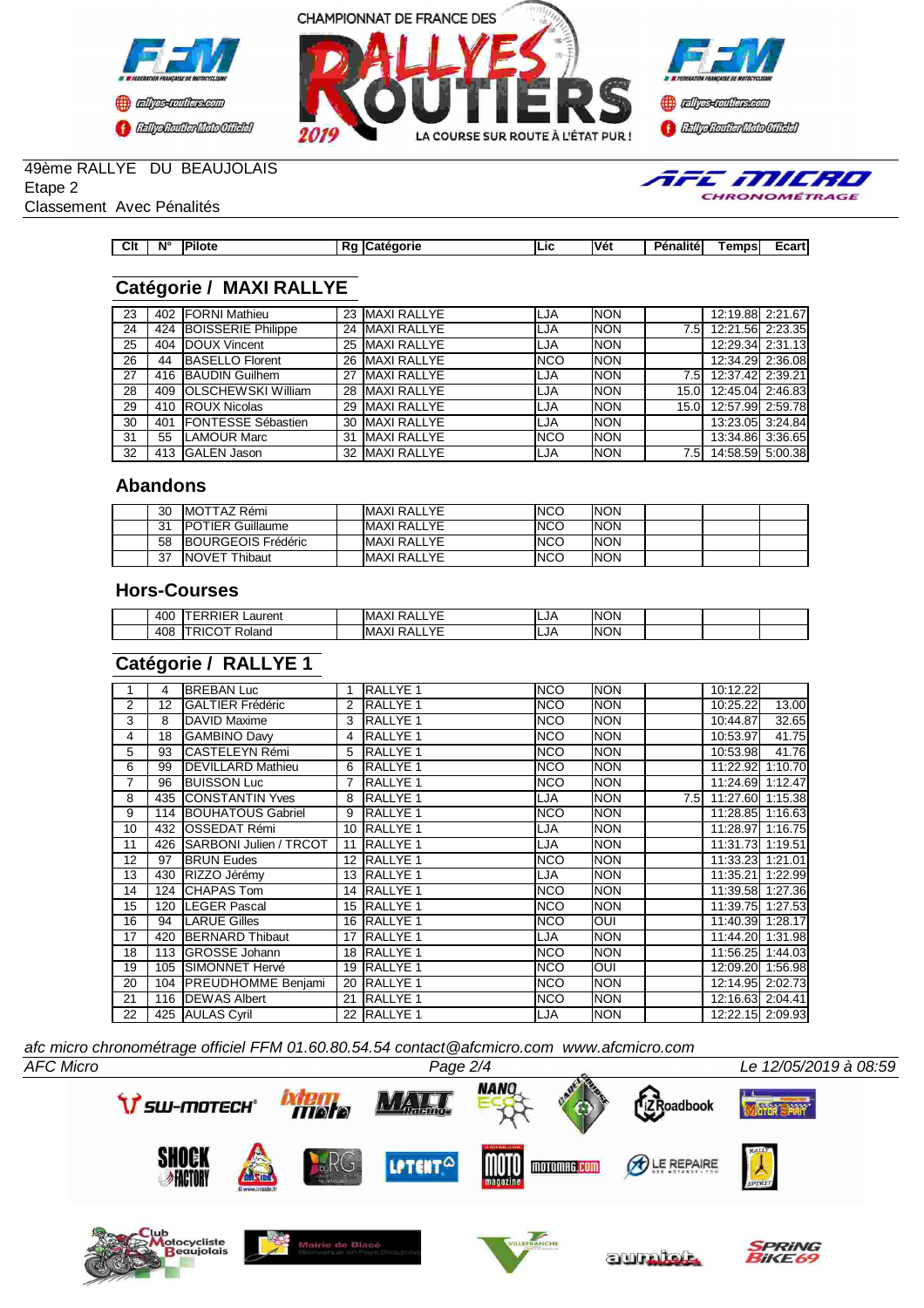





TFE MILRO CHRONOMÉTRAGE

# 49ème RALLYE DU BEAUJOLAIS

Etape 2

Classement Avec Pénalités

| Clt<br>__ | <b>N°</b> | <b>Pilote</b> | πι | <b>aorie</b> | Lic | lVé۱ | $\frac{1}{2} \left( \frac{1}{2} \right) \left( \frac{1}{2} \right) \left( \frac{1}{2} \right) \left( \frac{1}{2} \right) \left( \frac{1}{2} \right) \left( \frac{1}{2} \right) \left( \frac{1}{2} \right) \left( \frac{1}{2} \right) \left( \frac{1}{2} \right) \left( \frac{1}{2} \right) \left( \frac{1}{2} \right) \left( \frac{1}{2} \right) \left( \frac{1}{2} \right) \left( \frac{1}{2} \right) \left( \frac{1}{2} \right) \left( \frac{1}{2} \right) \left( \frac$<br>--<br>.nalita<br>. . | amne<br>וסו<br>יכטו. | $-0.0$<br>–∿ar u<br>__ |
|-----------|-----------|---------------|----|--------------|-----|------|----------------------------------------------------------------------------------------------------------------------------------------------------------------------------------------------------------------------------------------------------------------------------------------------------------------------------------------------------------------------------------------------------------------------------------------------------------------------------------------------------|----------------------|------------------------|

# **Catégorie / MAXI RALLYE**

| 23 |     | 402 FORNI Mathieu              |    | 23 MAXI RALLYE     | ILJA        | <b>NON</b> |                  | 12:19.88 2:21.67 |  |
|----|-----|--------------------------------|----|--------------------|-------------|------------|------------------|------------------|--|
| 24 |     | 424 BOISSERIE Philippe         | 24 | <b>MAXI RALLYE</b> | ILJA        | <b>NON</b> | 7.5I             | 12:21.56 2:23.35 |  |
| 25 |     | 404 <b>IDOUX</b> Vincent       |    | 25 MAXI RALLYE     | LJA         | <b>NON</b> |                  | 12:29.34 2:31.13 |  |
| 26 | 44  | <b>BASELLO Florent</b>         |    | 26 MAXI RALLYE     | <b>INCO</b> | <b>NON</b> |                  | 12:34.29 2:36.08 |  |
| 27 |     | 416 BAUDIN Guilhem             | 27 | <b>MAXI RALLYE</b> | LJA         | <b>NON</b> | 7.5 <sub>1</sub> | 12:37.42 2:39.21 |  |
| 28 |     | 409 <b>IOLSCHEWSKI</b> William |    | 28 MAXI RALLYE     | ILJA        | <b>NON</b> | 15.0I            | 12:45.04 2:46.83 |  |
| 29 |     | 410 ROUX Nicolas               |    | 29 MAXI RALLYE     | LJA         | <b>NON</b> | 15.0I            | 12:57.99 2:59.78 |  |
| 30 | 401 | <b>IFONTESSE Sébastien</b>     | 30 | <b>MAXI RALLYE</b> | LJA         | <b>NON</b> |                  | 13:23.05 3:24.84 |  |
| 31 | 55  | <b>LAMOUR Marc</b>             | 31 | <b>MAXI RALLYE</b> | <b>NCO</b>  | <b>NON</b> |                  | 13:34.86 3:36.65 |  |
| 32 |     | 413 IGALEN Jason               | 32 | <b>MAXI RALLYE</b> | LJA         | <b>NON</b> | 7.5I             | 14:58.59 5:00.38 |  |
|    |     |                                |    |                    |             |            |                  |                  |  |

## **Abandons**

| 30 | <b>IMOTTAZ Rémi</b>        | <b>MAXI RALLYE</b>  | INCO | <b>NON</b> |  |  |
|----|----------------------------|---------------------|------|------------|--|--|
| 21 | <b>IPOTIER Guillaume</b>   | <b>MAXI RALLYE</b>  | INCO | <b>NON</b> |  |  |
| 58 | <b>IBOURGEOIS Frédéric</b> | IMAXI RALLYE        | INCO | <b>NON</b> |  |  |
| 37 | <b>INOVET</b><br>™hibaut   | <b>IMAXI RALLYE</b> | INCO | <b>NON</b> |  |  |

### **Hors-Courses**

| 400 | -----<br>_aurent<br>. .<br>1 L.                             | $\sqrt{2}$<br>IMAXI<br>י ∆י<br>$\ddotsc$<br>v | LJA  | <b>INON</b> |  |  |
|-----|-------------------------------------------------------------|-----------------------------------------------|------|-------------|--|--|
| 408 | $\overline{\phantom{0}}$<br>$ -$<br>-<br>oland<br>٠h<br>. . | $\sqrt{2}$<br>IMAXI<br>∍^∙<br>e.<br>v         | .LJA | <b>INON</b> |  |  |

# **Catégorie / RALLYE 1**

|    | 4   | <b>BREBAN Luc</b>          |                 | <b>RALLYE 1</b>     | <b>NCO</b> | <b>NON</b> |     | 10:12.22         |       |
|----|-----|----------------------------|-----------------|---------------------|------------|------------|-----|------------------|-------|
| 2  | 12  | <b>GALTIER Frédéric</b>    |                 | <b>RALLYE 1</b>     | <b>NCO</b> | <b>NON</b> |     | 10:25.22         | 13.00 |
| 3  | 8   | DAVID Maxime               | 3               | <b>RALLYE 1</b>     | <b>NCO</b> | <b>NON</b> |     | 10:44.87         | 32.65 |
| 4  | 18  | <b>GAMBINO Davy</b>        | 4               | <b>RALLYE 1</b>     | <b>NCO</b> | <b>NON</b> |     | 10:53.97         | 41.75 |
| 5  | 93  | <b>ICASTELEYN Rémi</b>     | 5               | <b>RALLYE 1</b>     | <b>NCO</b> | <b>NON</b> |     | 10:53.98         | 41.76 |
| 6  | 99  | <b>IDEVILLARD Mathieu</b>  | 6               | <b>RALLYE 1</b>     | <b>NCO</b> | <b>NON</b> |     | 11:22.92 1:10.70 |       |
| 7  | 96  | <b>BUISSON Luc</b>         |                 | <b>RALLYE 1</b>     | <b>NCO</b> | <b>NON</b> |     | 11:24.69 1:12.47 |       |
| 8  |     | 435 CONSTANTIN Yves        | 8               | <b>RALLYE 1</b>     | LJA        | <b>NON</b> | 7.5 | 11:27.60 1:15.38 |       |
| 9  |     | 114 BOUHATOUS Gabriel      | 9               | RALLYE <sub>1</sub> | <b>NCO</b> | <b>NON</b> |     | 11:28.85 1:16.63 |       |
| 10 | 432 | <b>IOSSEDAT Rémi</b>       | 10 <sup>1</sup> | <b>RALLYE 1</b>     | LJA        | <b>NON</b> |     | 11:28.97 1:16.75 |       |
| 11 |     | 426 SARBONI Julien / TRCOT | 11              | <b>RALLYE 1</b>     | LJA        | <b>NON</b> |     | 11:31.73 1:19.51 |       |
| 12 | 97  | <b>BRUN Eudes</b>          |                 | 12 RALLYE 1         | <b>NCO</b> | <b>NON</b> |     | 11:33.23 1:21.01 |       |
| 13 | 430 | RIZZO Jérémy               |                 | 13 RALLYE 1         | LJA        | <b>NON</b> |     | 11:35.21 1:22.99 |       |
| 14 |     | 124 CHAPAS Tom             |                 | 14 RALLYE 1         | <b>NCO</b> | <b>NON</b> |     | 11:39.58 1:27.36 |       |
| 15 | 120 | <b>LEGER Pascal</b>        |                 | 15 RALLYE 1         | <b>NCO</b> | <b>NON</b> |     | 11:39.75 1:27.53 |       |
| 16 | 94  | <b>ILARUE Gilles</b>       |                 | 16 RALLYE 1         | <b>NCO</b> | OUI        |     | 11:40.39 1:28.17 |       |
| 17 | 420 | <b>IBERNARD Thibaut</b>    | 17              | RALLYE <sub>1</sub> | LJA        | <b>NON</b> |     | 11:44.20 1:31.98 |       |
| 18 | 113 | <b>IGROSSE Johann</b>      |                 | 18 RALLYE 1         | <b>NCO</b> | <b>NON</b> |     | 11:56.25 1:44.03 |       |
| 19 |     | 105 ISIMONNET Hervé        |                 | 19 RALLYE 1         | <b>NCO</b> | OUI        |     | 12:09.20 1:56.98 |       |
| 20 |     | 104 PREUDHOMME Benjami     | 20              | <b>RALLYE 1</b>     | <b>NCO</b> | <b>NON</b> |     | 12:14.95 2:02.73 |       |
| 21 |     | 116 DEWAS Albert           | 21              | <b>RALLYE 1</b>     | <b>NCO</b> | <b>NON</b> |     | 12:16.63 2:04.41 |       |
| 22 |     | 425 AULAS Cyril            |                 | 22 RALLYE 1         | LJA        | <b>NON</b> |     | 12:22.15 2:09.93 |       |

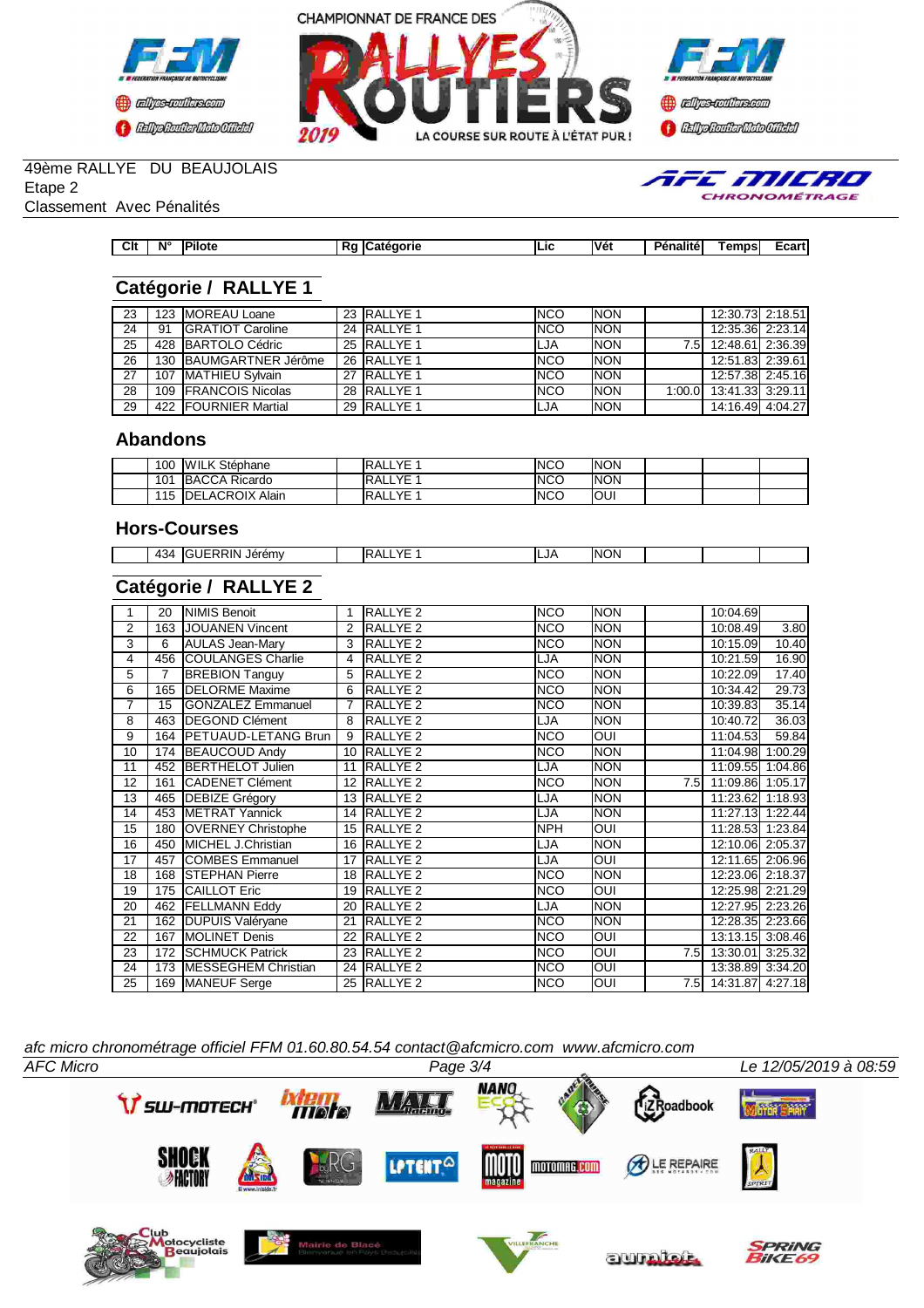





TFE MILRO CHRONOMÉTRAGE

## 49ème RALLYE DU BEAUJOLAIS

Etape 2

Classement Avec Pénalités

# **Catégorie / RALLYE 1**

| 23 |    | 123 IMOREAU Loane            | 23 RALLYE 1            | INCO | <b>INON</b> |      | 12:30.73 2:18.51        |  |
|----|----|------------------------------|------------------------|------|-------------|------|-------------------------|--|
| 24 | 91 | <b>IGRATIOT Caroline</b>     | 24 RALLYE <sub>1</sub> | INCO | <b>INON</b> |      | 12:35.36 2:23.14        |  |
| 25 |    | 428 BARTOLO Cédric           | 25 RALLYE 1            | LJA  | <b>INON</b> | 7.51 | 12:48.61 2:36.39        |  |
| 26 |    | 130 BAUMGARTNER Jérôme       | 26 RALLYE 1            | INCO | <b>INON</b> |      | 12:51.83 2:39.61        |  |
| 27 |    | 107 IMATHIEU Sylvain         | 27 RALLYE 1            | INCO | <b>INON</b> |      | 12:57.38 2:45.16        |  |
| 28 |    | 109 <b>IFRANCOIS</b> Nicolas | 28 RALLYE 1            | INCO | <b>INON</b> |      | 1:00.0 13:41.33 3:29.11 |  |
| 29 |    | 422 FOURNIER Martial         | 29 RALLYE 1            | LJA  | <b>INON</b> |      | 14:16.49 4:04.27        |  |

**Clt N° Pilote Rg Catégorie Lic Vét Pénalité Temps Ecart**

### **Abandons**

| 100 | <b>WILK Stéphane</b>    | <b>RALLYE</b> | INCO | <b>INON</b> |  |  |
|-----|-------------------------|---------------|------|-------------|--|--|
| 101 | <b>IBACCA Ricardo</b>   | <b>RALLYE</b> | INCO | <b>INON</b> |  |  |
| 115 | <b>IDELACROIX Alain</b> | RALLYE        | INCO | IOUI        |  |  |

#### **Hors-Courses**

| $A \Omega$<br>∼<br>$\overline{ }$<br>᠇◡ | $\sim$ nom $\sim$<br>em\<br>. . | $\mathbf{v}$<br>$\cdot$<br>$\mathbf{v}$<br>`` | ILJA | INO<br>١N |  |  |
|-----------------------------------------|---------------------------------|-----------------------------------------------|------|-----------|--|--|
|                                         |                                 |                                               |      |           |  |  |

### **Catégorie / RALLYE 2**

|    | 20             | NIMIS Benoit                | 1  | RALLYE <sub>2</sub> | <b>NCO</b>  | <b>NON</b> |      | 10:04.69             |       |
|----|----------------|-----------------------------|----|---------------------|-------------|------------|------|----------------------|-------|
| 2  | 163            | JOUANEN Vincent             | 2  | RALLYE <sub>2</sub> | <b>INCO</b> | <b>NON</b> |      | 10:08.49             | 3.80  |
| 3  | 6              | AULAS Jean-Mary             | 3  | RALLYE <sub>2</sub> | INCO        | <b>NON</b> |      | 10:15.09             | 10.40 |
| 4  | 456            | <b>COULANGES Charlie</b>    | 4  | RALLYE <sub>2</sub> | LJA         | <b>NON</b> |      | 10:21.59             | 16.90 |
| 5  | $\overline{7}$ | <b>BREBION Tanguy</b>       | 5  | <b>RALLYE 2</b>     | <b>NCO</b>  | <b>NON</b> |      | 10:22.09             | 17.40 |
| 6  | 165            | <b>IDELORME</b> Maxime      | 6  | <b>RALLYE 2</b>     | NCO         | <b>NON</b> |      | 10:34.42             | 29.73 |
| 7  | 15             | <b>GONZALEZ Emmanuel</b>    | 7  | <b>RALLYE 2</b>     | <b>NCO</b>  | <b>NON</b> |      | 10:39.83             | 35.14 |
| 8  | 463            | <b>DEGOND Clément</b>       | 8  | <b>RALLYE 2</b>     | LJA         | <b>NON</b> |      | 10:40.72             | 36.03 |
| 9  | 164            | <b>IPETUAUD-LETANG Brun</b> | 9  | <b>RALLYE 2</b>     | <b>NCO</b>  | <b>INO</b> |      | 11:04.53             | 59.84 |
| 10 | 174            | <b>BEAUCOUD Andy</b>        | 10 | RALLYE <sub>2</sub> | INCO        | <b>NON</b> |      | 11:04.98 1:00.29     |       |
| 11 |                | 452 BERTHELOT Julien        | 11 | <b>RALLYE 2</b>     | LJA         | <b>NON</b> |      | 11:09.55 1:04.86     |       |
| 12 | 161            | <b>ICADENET Clément</b>     | 12 | RALLYE <sub>2</sub> | <b>NCO</b>  | <b>NON</b> | 7.5  | 11:09.86 1:05.17     |       |
| 13 | 465            | <b>DEBIZE Grégory</b>       | 13 | RALLYE <sub>2</sub> | LJA         | <b>NON</b> |      | 11:23.62 1:18.93     |       |
| 14 |                | 453 METRAT Yannick          | 14 | RALLYE <sub>2</sub> | LJA         | <b>NON</b> |      | 11:27.13 1:22.44     |       |
| 15 | 180            | <b>IOVERNEY Christophe</b>  | 15 | <b>RALLYE 2</b>     | <b>INPH</b> | <b>OUI</b> |      | 11:28.53 1:23.84     |       |
| 16 | 450            | MICHEL J.Christian          | 16 | RALLYE <sub>2</sub> | LJA         | <b>NON</b> |      | 12:10.06 2:05.37     |       |
| 17 | 457            | <b>COMBES Emmanuel</b>      | 17 | RALLYE <sub>2</sub> | LJA         | <b>OUI</b> |      | 12:11.65 2:06.96     |       |
| 18 | 168            | <b>ISTEPHAN Pierre</b>      | 18 | RALLYE <sub>2</sub> | <b>NCO</b>  | <b>NON</b> |      | 12:23.06 2:18.37     |       |
| 19 | 175            | <b>CAILLOT Eric</b>         | 19 | <b>RALLYE 2</b>     | <b>NCO</b>  | <b>OUI</b> |      | 12:25.98 2:21.29     |       |
| 20 | 462            | <b>FELLMANN Eddy</b>        | 20 | RALLYE <sub>2</sub> | LJA         | <b>NON</b> |      | 12:27.95 2:23.26     |       |
| 21 | 162            | <b>DUPUIS Valéryane</b>     | 21 | <b>RALLYE 2</b>     | <b>NCO</b>  | <b>NON</b> |      | 12:28.35 2:23.66     |       |
| 22 | 167            | <b>MOLINET Denis</b>        | 22 | <b>RALLYE 2</b>     | <b>NCO</b>  | <b>OUI</b> |      | 13:13.15 3:08.46     |       |
| 23 | 172            | <b>SCHMUCK Patrick</b>      | 23 | RALLYE <sub>2</sub> | <b>NCO</b>  | <b>OUI</b> | 7.51 | 13:30.01 3:25.32     |       |
| 24 | 173            | MESSEGHEM Christian         | 24 | RALLYE <sub>2</sub> | <b>NCO</b>  | <b>OUI</b> |      | 13:38.89 3:34.20     |       |
| 25 |                | 169 MANEUF Serge            |    | 25 RALLYE 2         | <b>NCO</b>  | <b>OUI</b> |      | 7.5 14:31.87 4:27.18 |       |